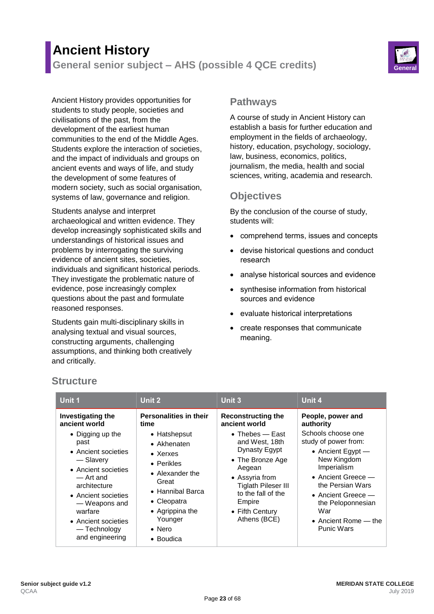# **Ancient History General senior subject – AHS (possible 4 QCE credits) General**



Ancient History provides opportunities for students to study people, societies and civilisations of the past, from the development of the earliest human communities to the end of the Middle Ages. Students explore the interaction of societies, and the impact of individuals and groups on ancient events and ways of life, and study the development of some features of modern society, such as social organisation, systems of law, governance and religion.

Students analyse and interpret archaeological and written evidence. They develop increasingly sophisticated skills and understandings of historical issues and problems by interrogating the surviving evidence of ancient sites, societies, individuals and significant historical periods. They investigate the problematic nature of evidence, pose increasingly complex questions about the past and formulate reasoned responses.

Students gain multi-disciplinary skills in analysing textual and visual sources, constructing arguments, challenging assumptions, and thinking both creatively and critically.

### **Pathways**

A course of study in Ancient History can establish a basis for further education and employment in the fields of archaeology, history, education, psychology, sociology, law, business, economics, politics, journalism, the media, health and social sciences, writing, academia and research.

## **Objectives**

By the conclusion of the course of study, students will:

- comprehend terms, issues and concepts
- devise historical questions and conduct research
- analyse historical sources and evidence
- synthesise information from historical sources and evidence
- evaluate historical interpretations
- create responses that communicate meaning.

| Unit 1                                                                                                                                                                                                                                                              | Unit 2                                                                                                                                                                                                                                                      | Unit 3                                                                                                                                                                                                                                            | Unit 4                                                                                                                                                                                                                                                                                           |
|---------------------------------------------------------------------------------------------------------------------------------------------------------------------------------------------------------------------------------------------------------------------|-------------------------------------------------------------------------------------------------------------------------------------------------------------------------------------------------------------------------------------------------------------|---------------------------------------------------------------------------------------------------------------------------------------------------------------------------------------------------------------------------------------------------|--------------------------------------------------------------------------------------------------------------------------------------------------------------------------------------------------------------------------------------------------------------------------------------------------|
| Investigating the<br>ancient world<br>• Digging up the<br>past<br>• Ancient societies<br>- Slavery<br>• Ancient societies<br>— Art and<br>architecture<br>• Ancient societies<br>- Weapons and<br>warfare<br>• Ancient societies<br>— Technology<br>and engineering | Personalities in their<br>time<br>• Hatshepsut<br>$\bullet$ Akhenaten<br>$\bullet$ Xerxes<br>$\bullet$ Perikles<br>• Alexander the<br>Great<br>$\bullet$ Hannibal Barca<br>• Cleopatra<br>• Agrippina the<br>Younger<br>$\bullet$ Nero<br>$\bullet$ Boudica | <b>Reconstructing the</b><br>ancient world<br>• Thebes – East<br>and West, 18th<br>Dynasty Egypt<br>• The Bronze Age<br>Aegean<br>• Assyria from<br><b>Tiglath Pileser III</b><br>to the fall of the<br>Empire<br>• Fifth Century<br>Athens (BCE) | People, power and<br>authority<br>Schools choose one<br>study of power from:<br>• Ancient Egypt $-$<br>New Kingdom<br>Imperialism<br>$\bullet$ Ancient Greece $-$<br>the Persian Wars<br>• Ancient Greece $-$<br>the Peloponnesian<br>War<br>$\bullet$ Ancient Rome $-$ the<br><b>Punic Wars</b> |

## **Structure**